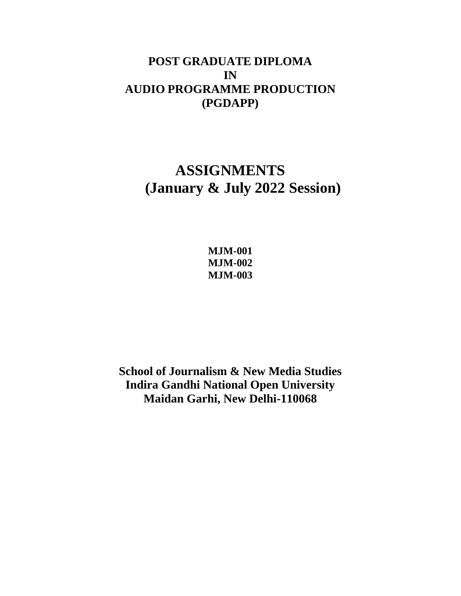## **POST GRADUATE DIPLOMA IN AUDIO PROGRAMME PRODUCTION (PGDAPP)**

# **ASSIGNMENTS (January & July 2022 Session)**

**MJM-001 MJM-002 MJM-003**

**School of Journalism & New Media Studies Indira Gandhi National Open University Maidan Garhi, New Delhi-110068**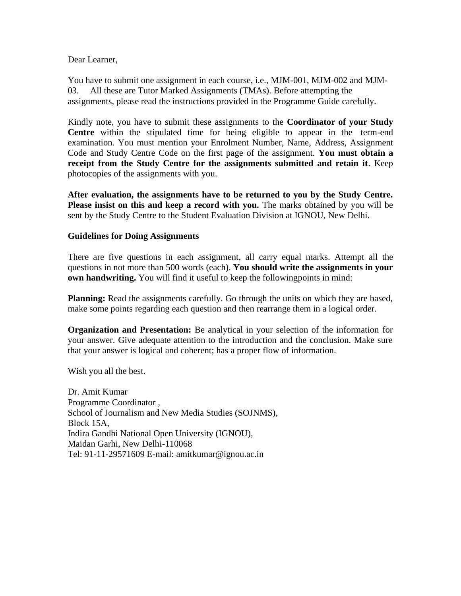## Dear Learner,

You have to submit one assignment in each course, i.e., MJM-001, MJM-002 and MJM-03. All these are Tutor Marked Assignments (TMAs). Before attempting the assignments, please read the instructions provided in the Programme Guide carefully.

Kindly note, you have to submit these assignments to the **Coordinator of your Study Centre** within the stipulated time for being eligible to appear in the term-end examination. You must mention your Enrolment Number, Name, Address, Assignment Code and Study Centre Code on the first page of the assignment. **You must obtain a receipt from the Study Centre for the assignments submitted and retain it**. Keep photocopies of the assignments with you.

**After evaluation, the assignments have to be returned to you by the Study Centre. Please insist on this and keep a record with you.** The marks obtained by you will be sent by the Study Centre to the Student Evaluation Division at IGNOU, New Delhi.

## **Guidelines for Doing Assignments**

There are five questions in each assignment, all carry equal marks. Attempt all the questions in not more than 500 words (each). **You should write the assignments in your own handwriting.** You will find it useful to keep the following points in mind:

**Planning:** Read the assignments carefully. Go through the units on which they are based, make some points regarding each question and then rearrange them in a logical order.

**Organization and Presentation:** Be analytical in your selection of the information for your answer. Give adequate attention to the introduction and the conclusion. Make sure that your answer is logical and coherent; has a proper flow of information.

Wish you all the best.

Dr. Amit Kumar Programme Coordinator , School of Journalism and New Media Studies (SOJNMS), Block 15A, Indira Gandhi National Open University (IGNOU), Maidan Garhi, New Delhi-110068 Tel: 91-11-29571609 E-mail: [amitkumar@ignou.ac.in](mailto:amitkumar@ignou.ac.in)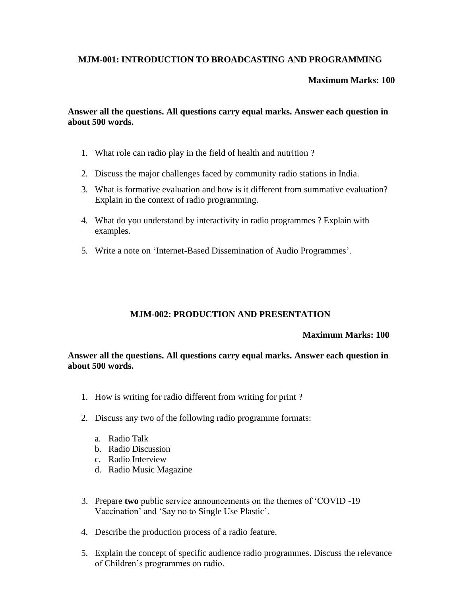## **MJM-001: INTRODUCTION TO BROADCASTING AND PROGRAMMING**

## **Maximum Marks: 100**

**Answer all the questions. All questions carry equal marks. Answer each question in about 500 words.**

- 1. What role can radio play in the field of health and nutrition ?
- 2. Discuss the major challenges faced by community radio stations in India.
- 3. What is formative evaluation and how is it different from summative evaluation? Explain in the context of radio programming.
- 4. What do you understand by interactivity in radio programmes ? Explain with examples.
- 5. Write a note on 'Internet-Based Dissemination of Audio Programmes'.

## **MJM-002: PRODUCTION AND PRESENTATION**

## **Maximum Marks: 100**

**Answer all the questions. All questions carry equal marks. Answer each question in about 500 words.**

- 1. How is writing for radio different from writing for print ?
- 2. Discuss any two of the following radio programme formats:
	- a. Radio Talk
	- b. Radio Discussion
	- c. Radio Interview
	- d. Radio Music Magazine
- 3. Prepare **two** public service announcements on the themes of 'COVID -19 Vaccination' and 'Say no to Single Use Plastic'.
- 4. Describe the production process of a radio feature.
- 5. Explain the concept of specific audience radio programmes. Discuss the relevance of Children's programmes on radio.